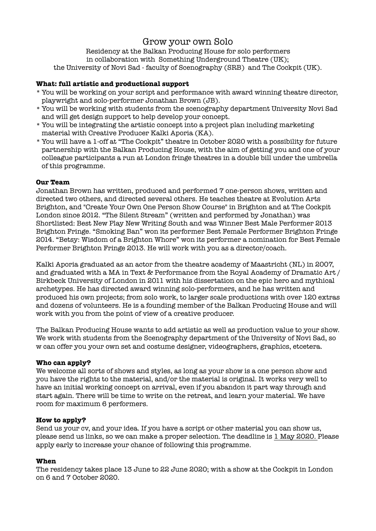# Grow your own Solo

Residency at the Balkan Producing House for solo performers in collaboration with Something Underground Theatre (UK); the University of Novi Sad - faculty of Scenography (SRB) and The Cockpit (UK).

# **What: full artistic and productional support**

- \* You will be working on your script and performance with award winning theatre director, playwright and solo-performer Jonathan Brown (JB).
- \* You will be working with students from the scenography department University Novi Sad and will get design support to help develop your concept.
- \* You will be integrating the artistic concept into a project plan including marketing material with Creative Producer Kalki Aporia (KA).
- \* You will have a 1-off at "The Cockpit" theatre in October 2020 with a possibility for future partnership with the Balkan Producing House, with the aim of getting you and one of your colleague participants a run at London fringe theatres in a double bill under the umbrella of this programme.

# **Our Team**

Jonathan Brown has written, produced and performed 7 one-person shows, written and directed two others, and directed several others. He teaches theatre at Evolution Arts Brighton, and "Create Your Own One Person Show Course" in Brighton and at The Cockpit London since 2012. "The Silent Stream" (written and performed by Jonathan) was Shortlisted: Best New Play New Writing South and was Winner Best Male Performer 2013 Brighton Fringe. "Smoking Ban" won its performer Best Female Performer Brighton Fringe 2014. "Betsy: Wisdom of a Brighton Whore" won its performer a nomination for Best Female Performer Brighton Fringe 2013. He will work with you as a director/coach.

Kalki Aporia graduated as an actor from the theatre academy of Maastricht (NL) in 2007, and graduated with a MA in Text & Performance from the Royal Academy of Dramatic Art / Birkbeck University of London in 2011 with his dissertation on the epic hero and mythical archetypes. He has directed award winning solo-performers, and he has written and produced his own projects; from solo work, to larger scale productions with over 120 extras and dozens of volunteers. He is a founding member of the Balkan Producing House and will work with you from the point of view of a creative producer.

The Balkan Producing House wants to add artistic as well as production value to your show. We work with students from the Scenography department of the University of Novi Sad, so w can offer you your own set and costume designer, videographers, graphics, etcetera.

# **Who can apply?**

We welcome all sorts of shows and styles, as long as your show is a one person show and you have the rights to the material, and/or the material is original. It works very well to have an initial working concept on arrival, even if you abandon it part way through and start again. There will be time to write on the retreat, and learn your material. We have room for maximum 6 performers.

# **How to apply?**

Send us your cv, and your idea. If you have a script or other material you can show us, please send us links, so we can make a proper selection. The deadline is 1 May 2020. Please apply early to increase your chance of following this programme.

#### **When**

The residency takes place 13 June to 22 June 2020; with a show at the Cockpit in London on 6 and 7 October 2020.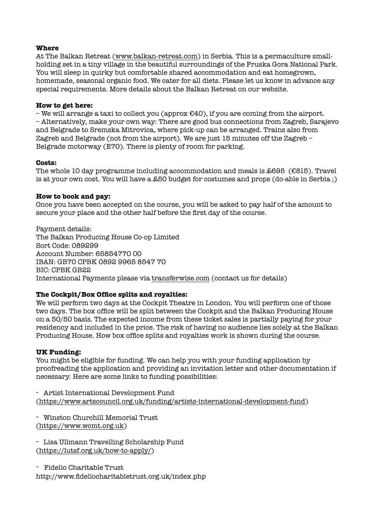### **Where**

At The Balkan Retreat [\(www.balkan-retreat.com\)](http://www.balkan-retreat.com) in Serbia. This is a permaculture smallholding set in a tiny village in the beautiful surroundings of the Fruska Gora National Park. You will sleep in quirky but comfortable shared accommodation and eat homegrown, homemade, seasonal organic food. We cater for all diets. Please let us know in advance any special requirements. More details about the Balkan Retreat on our website.

# **How to get here:**

– We will arrange a taxi to collect you (approx  $E$ 40), if you are coming from the airport. – Alternatively, make your own way: There are good bus connections from Zagreb, Sarajevo and Belgrade to Sremska Mitrovica, where pick-up can be arranged. Trains also from Zagreb and Belgrade (not from the airport). We are just 15 minutes off the Zagreb – Belgrade motorway (E70). There is plenty of room for parking.

### **Costs:**

The whole 10 day programme including accommodation and meals is £695 (€815). Travel is at your own cost. You will have a £50 budget for costumes and props (do-able in Serbia ;)

### **How to book and pay:**

Once you have been accepted on the course, you will be asked to pay half of the amount to secure your place and the other half before the first day of the course.

Payment details: The Balkan Producing House Co-op Limited Sort Code: 089299 Account Number: 65854770 00 IBAN: GB70 CPBK 0892 9965 8547 70 BIC: CPBK GB22 International Payments please via [transferwise.com](http://transferwise.com) (contact us for details)

# **The Cockpit/Box Office splits and royalties:**

We will perform two days at the Cockpit Theatre in London. You will perform one of those two days. The box office will be split between the Cockpit and the Balkan Producing House on a 50/50 basis. The expected income from these ticket sales is partially paying for your residency and included in the price. The risk of having no audience lies solely at the Balkan Producing House. How box office splits and royalties work is shown during the course.

# **UK Funding:**

You might be eligible for funding. We can help you with your funding application by proofreading the application and providing an invitation letter and other documentation if necessary. Here are some links to funding possibilities:

- Artist International Development Fund [\(https://www.artscouncil.org.uk/funding/artists-international-development-fund](https://www.artscouncil.org.uk/funding/artists-international-development-fund))

- Winston Churchill Memorial Trust [\(https://www.wcmt.org.uk](https://www.wcmt.org.uk))

- Lisa Ullmann Travelling Scholarship Fund [\(https://lutsf.org.uk/how-to-apply/](https://lutsf.org.uk/how-to-apply/))

- Fidelio Charitable Trust

http://www.fideliocharitabletrust.org.uk/index.php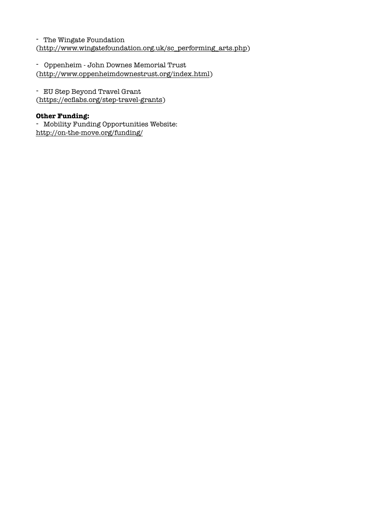- The Wingate Foundation [\(http://www.wingatefoundation.org.uk/sc\\_performing\\_arts.php](http://www.wingatefoundation.org.uk/sc_performing_arts.php))

- Oppenheim - John Downes Memorial Trust [\(http://www.oppenheimdownestrust.org/index.html](http://www.oppenheimdownestrust.org/index.html))

- EU Step Beyond Travel Grant [\(https://ecflabs.org/step-travel-grants](https://ecflabs.org/step-travel-grants))

# **Other Funding:**

- Mobility Funding Opportunities Website: <http://on-the-move.org/funding/>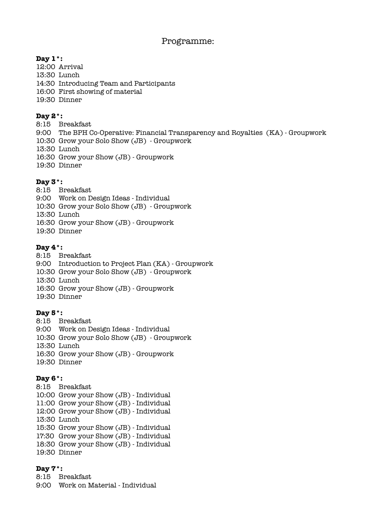# Programme:

# $\mathbf{Day\ 1^*}$ :

- 12:00 Arrival
- 13:30 Lunch
- 14:30 Introducing Team and Participants
- 16:00 First showing of material
- 19:30 Dinner

# **Day 2\*:**

- 8:15 Breakfast
- 9:00 The BPH Co-Operative: Financial Transparency and Royalties (KA) Groupwork
- 10:30 Grow your Solo Show (JB) Groupwork
- 13:30 Lunch
- 16:30 Grow your Show (JB) Groupwork
- 19:30 Dinner

# **Day 3\*:**

- 8:15 Breakfast
- 9:00 Work on Design Ideas Individual
- 10:30 Grow your Solo Show (JB) Groupwork
- 13:30 Lunch
- 16:30 Grow your Show (JB) Groupwork
- 19:30 Dinner

# **Day 4\*:**

- 8:15 Breakfast 9:00 Introduction to Project Plan (KA) - Groupwork 10:30 Grow your Solo Show (JB) - Groupwork 13:30 Lunch 16:30 Grow your Show (JB) - Groupwork 19:30 Dinner
- **Day 5\*:**
- 8:15 Breakfast 9:00 Work on Design Ideas - Individual 10:30 Grow your Solo Show (JB) - Groupwork 13:30 Lunch 16:30 Grow your Show (JB) - Groupwork 19:30 Dinner

# **Day 6\*:**

8:15 Breakfast 10:00 Grow your Show (JB) - Individual 11:00 Grow your Show (JB) - Individual 12:00 Grow your Show (JB) - Individual 13:30 Lunch 15:30 Grow your Show (JB) - Individual 17:30 Grow your Show (JB) - Individual 18:30 Grow your Show (JB) - Individual 19:30 Dinner

# **Day 7\*:**

8:15 Breakfast 9:00 Work on Material - Individual